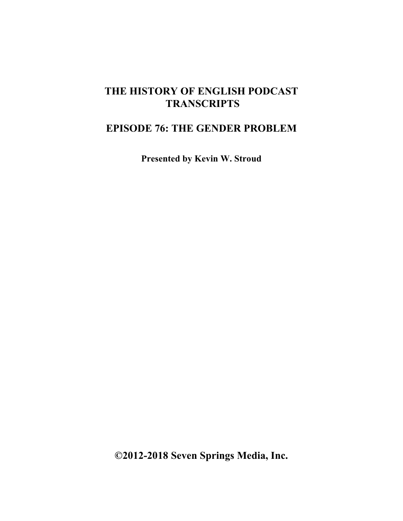## **THE HISTORY OF ENGLISH PODCAST TRANSCRIPTS**

## **EPISODE 76: THE GENDER PROBLEM**

**Presented by Kevin W. Stroud**

**©2012-2018 Seven Springs Media, Inc.**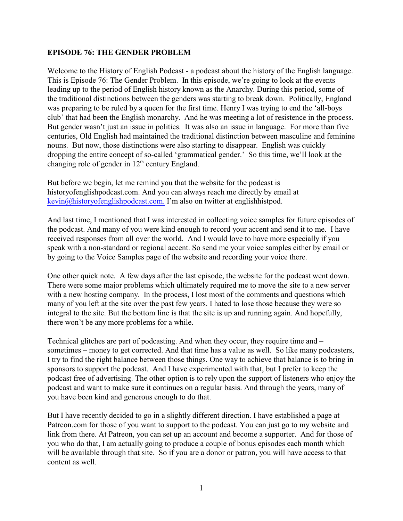## **EPISODE 76: THE GENDER PROBLEM**

Welcome to the History of English Podcast - a podcast about the history of the English language. This is Episode 76: The Gender Problem. In this episode, we're going to look at the events leading up to the period of English history known as the Anarchy. During this period, some of the traditional distinctions between the genders was starting to break down. Politically, England was preparing to be ruled by a queen for the first time. Henry I was trying to end the 'all-boys club' that had been the English monarchy. And he was meeting a lot of resistence in the process. But gender wasn't just an issue in politics. It was also an issue in language. For more than five centuries, Old English had maintained the traditional distinction between masculine and feminine nouns. But now, those distinctions were also starting to disappear. English was quickly dropping the entire concept of so-called 'grammatical gender.' So this time, we'll look at the changing role of gender in  $12<sup>th</sup>$  century England.

But before we begin, let me remind you that the website for the podcast is historyofenglishpodcast.com. And you can always reach me directly by email at [kevin@historyofenglishpodcast.com.](mailto:kevin@historyofenglishpodcast.com.) I'm also on twitter at englishhistpod.

And last time, I mentioned that I was interested in collecting voice samples for future episodes of the podcast. And many of you were kind enough to record your accent and send it to me. I have received responses from all over the world. And I would love to have more especially if you speak with a non-standard or regional accent. So send me your voice samples either by email or by going to the Voice Samples page of the website and recording your voice there.

One other quick note. A few days after the last episode, the website for the podcast went down. There were some major problems which ultimately required me to move the site to a new server with a new hosting company. In the process, I lost most of the comments and questions which many of you left at the site over the past few years. I hated to lose those because they were so integral to the site. But the bottom line is that the site is up and running again. And hopefully, there won't be any more problems for a while.

Technical glitches are part of podcasting. And when they occur, they require time and – sometimes – money to get corrected. And that time has a value as well. So like many podcasters, I try to find the right balance between those things. One way to achieve that balance is to bring in sponsors to support the podcast. And I have experimented with that, but I prefer to keep the podcast free of advertising. The other option is to rely upon the support of listeners who enjoy the podcast and want to make sure it continues on a regular basis. And through the years, many of you have been kind and generous enough to do that.

But I have recently decided to go in a slightly different direction. I have established a page at Patreon.com for those of you want to support to the podcast. You can just go to my website and link from there. At Patreon, you can set up an account and become a supporter. And for those of you who do that, I am actually going to produce a couple of bonus episodes each month which will be available through that site. So if you are a donor or patron, you will have access to that content as well.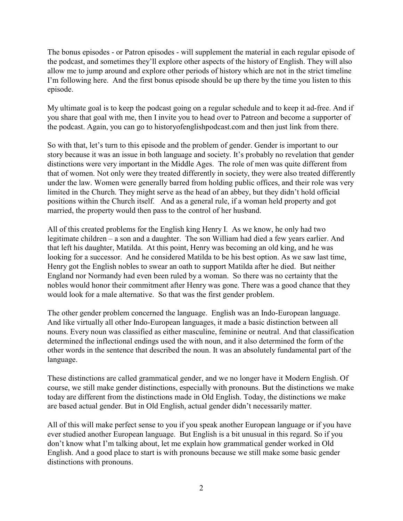The bonus episodes - or Patron episodes - will supplement the material in each regular episode of the podcast, and sometimes they'll explore other aspects of the history of English. They will also allow me to jump around and explore other periods of history which are not in the strict timeline I'm following here. And the first bonus episode should be up there by the time you listen to this episode.

My ultimate goal is to keep the podcast going on a regular schedule and to keep it ad-free. And if you share that goal with me, then I invite you to head over to Patreon and become a supporter of the podcast. Again, you can go to historyofenglishpodcast.com and then just link from there.

So with that, let's turn to this episode and the problem of gender. Gender is important to our story because it was an issue in both language and society. It's probably no revelation that gender distinctions were very important in the Middle Ages. The role of men was quite different from that of women. Not only were they treated differently in society, they were also treated differently under the law. Women were generally barred from holding public offices, and their role was very limited in the Church. They might serve as the head of an abbey, but they didn't hold official positions within the Church itself. And as a general rule, if a woman held property and got married, the property would then pass to the control of her husband.

All of this created problems for the English king Henry I. As we know, he only had two legitimate children – a son and a daughter. The son William had died a few years earlier. And that left his daughter, Matilda. At this point, Henry was becoming an old king, and he was looking for a successor. And he considered Matilda to be his best option. As we saw last time, Henry got the English nobles to swear an oath to support Matilda after he died. But neither England nor Normandy had even been ruled by a woman. So there was no certainty that the nobles would honor their commitment after Henry was gone. There was a good chance that they would look for a male alternative. So that was the first gender problem.

The other gender problem concerned the language. English was an Indo-European language. And like virtually all other Indo-European languages, it made a basic distinction between all nouns. Every noun was classified as either masculine, feminine or neutral. And that classification determined the inflectional endings used the with noun, and it also determined the form of the other words in the sentence that described the noun. It was an absolutely fundamental part of the language.

These distinctions are called grammatical gender, and we no longer have it Modern English. Of course, we still make gender distinctions, especially with pronouns. But the distinctions we make today are different from the distinctions made in Old English. Today, the distinctions we make are based actual gender. But in Old English, actual gender didn't necessarily matter.

All of this will make perfect sense to you if you speak another European language or if you have ever studied another European language. But English is a bit unusual in this regard. So if you don't know what I'm talking about, let me explain how grammatical gender worked in Old English. And a good place to start is with pronouns because we still make some basic gender distinctions with pronouns.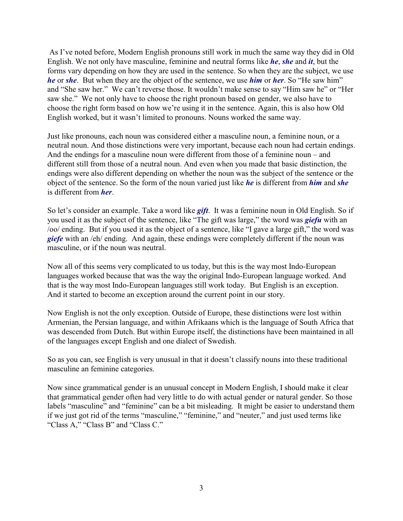As I've noted before, Modern English pronouns still work in much the same way they did in Old English. We not only have masculine, feminine and neutral forms like *he*, *she* and *it*, but the forms vary depending on how they are used in the sentence. So when they are the subject, we use *he* or *she*. But when they are the object of the sentence, we use *him* or *her*. So "He saw him" and "She saw her." We can't reverse those. It wouldn't make sense to say "Him saw he" or "Her saw she." We not only have to choose the right pronoun based on gender, we also have to choose the right form based on how we're using it in the sentence. Again, this is also how Old English worked, but it wasn't limited to pronouns. Nouns worked the same way.

Just like pronouns, each noun was considered either a masculine noun, a feminine noun, or a neutral noun. And those distinctions were very important, because each noun had certain endings. And the endings for a masculine noun were different from those of a feminine noun – and different still from those of a neutral noun. And even when you made that basic distinction, the endings were also different depending on whether the noun was the subject of the sentence or the object of the sentence. So the form of the noun varied just like *he* is different from *him* and *she* is different from *her*.

So let's consider an example. Take a word like *gift*. It was a feminine noun in Old English. So if you used it as the subject of the sentence, like "The gift was large," the word was *giefu* with an /oo/ ending. But if you used it as the object of a sentence, like "I gave a large gift," the word was *giefe* with an /eh/ ending. And again, these endings were completely different if the noun was masculine, or if the noun was neutral.

Now all of this seems very complicated to us today, but this is the way most Indo-European languages worked because that was the way the original Indo-European language worked. And that is the way most Indo-European languages still work today. But English is an exception. And it started to become an exception around the current point in our story.

Now English is not the only exception. Outside of Europe, these distinctions were lost within Armenian, the Persian language, and within Afrikaans which is the language of South Africa that was descended from Dutch. But within Europe itself, the distinctions have been maintained in all of the languages except English and one dialect of Swedish.

So as you can, see English is very unusual in that it doesn't classify nouns into these traditional masculine an feminine categories.

Now since grammatical gender is an unusual concept in Modern English, I should make it clear that grammatical gender often had very little to do with actual gender or natural gender. So those labels "masculine" and "feminine" can be a bit misleading. It might be easier to understand them if we just got rid of the terms "masculine," "feminine," and "neuter," and just used terms like "Class A," "Class B" and "Class C."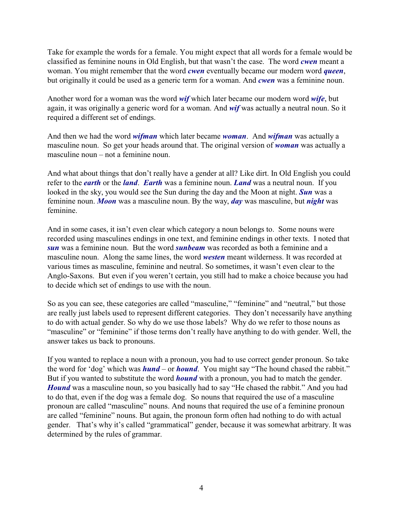Take for example the words for a female. You might expect that all words for a female would be classified as feminine nouns in Old English, but that wasn't the case. The word *cwen* meant a woman. You might remember that the word *cwen* eventually became our modern word *queen*, but originally it could be used as a generic term for a woman. And *cwen* was a feminine noun.

Another word for a woman was the word *wif* which later became our modern word *wife*, but again, it was originally a generic word for a woman. And *wif* was actually a neutral noun. So it required a different set of endings.

And then we had the word *wifman* which later became *woman*. And *wifman* was actually a masculine noun. So get your heads around that. The original version of *woman* was actually a masculine noun – not a feminine noun.

And what about things that don't really have a gender at all? Like dirt. In Old English you could refer to the *earth* or the *land*. *Earth* was a feminine noun. *Land* was a neutral noun. If you looked in the sky, you would see the Sun during the day and the Moon at night. *Sun* was a feminine noun. *Moon* was a masculine noun. By the way, *day* was masculine, but *night* was feminine.

And in some cases, it isn't even clear which category a noun belongs to. Some nouns were recorded using masculines endings in one text, and feminine endings in other texts. I noted that *sun* was a feminine noun. But the word *sunbeam* was recorded as both a feminine and a masculine noun. Along the same lines, the word *westen* meant wilderness. It was recorded at various times as masculine, feminine and neutral. So sometimes, it wasn't even clear to the Anglo-Saxons. But even if you weren't certain, you still had to make a choice because you had to decide which set of endings to use with the noun.

So as you can see, these categories are called "masculine," "feminine" and "neutral," but those are really just labels used to represent different categories. They don't necessarily have anything to do with actual gender. So why do we use those labels? Why do we refer to those nouns as "masculine" or "feminine" if those terms don't really have anything to do with gender. Well, the answer takes us back to pronouns.

If you wanted to replace a noun with a pronoun, you had to use correct gender pronoun. So take the word for 'dog' which was *hund* – or *hound*. You might say "The hound chased the rabbit." But if you wanted to substitute the word *hound* with a pronoun, you had to match the gender. *Hound* was a masculine noun, so you basically had to say "He chased the rabbit." And you had to do that, even if the dog was a female dog. So nouns that required the use of a masculine pronoun are called "masculine" nouns. And nouns that required the use of a feminine pronoun are called "feminine" nouns. But again, the pronoun form often had nothing to do with actual gender. That's why it's called "grammatical" gender, because it was somewhat arbitrary. It was determined by the rules of grammar.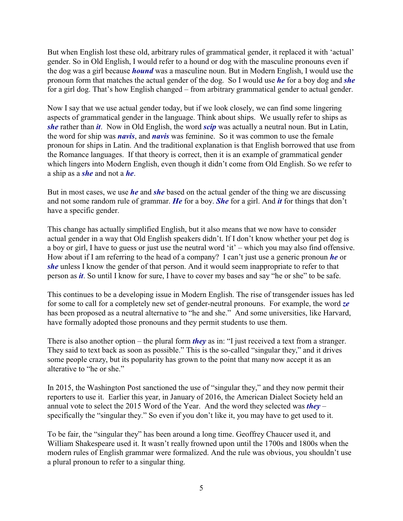But when English lost these old, arbitrary rules of grammatical gender, it replaced it with 'actual' gender. So in Old English, I would refer to a hound or dog with the masculine pronouns even if the dog was a girl because *hound* was a masculine noun. But in Modern English, I would use the pronoun form that matches the actual gender of the dog. So I would use *he* for a boy dog and *she* for a girl dog. That's how English changed – from arbitrary grammatical gender to actual gender.

Now I say that we use actual gender today, but if we look closely, we can find some lingering aspects of grammatical gender in the language. Think about ships. We usually refer to ships as *she* rather than *it*. Now in Old English, the word *scip* was actually a neutral noun. But in Latin, the word for ship was *navis*, and *navis* was feminine. So it was common to use the female pronoun for ships in Latin. And the traditional explanation is that English borrowed that use from the Romance languages. If that theory is correct, then it is an example of grammatical gender which lingers into Modern English, even though it didn't come from Old English. So we refer to a ship as a *she* and not a *he*.

But in most cases, we use *he* and *she* based on the actual gender of the thing we are discussing and not some random rule of grammar. *He* for a boy. *She* for a girl. And *it* for things that don't have a specific gender.

This change has actually simplified English, but it also means that we now have to consider actual gender in a way that Old English speakers didn't. If I don't know whether your pet dog is a boy or girl, I have to guess or just use the neutral word 'it' – which you may also find offensive. How about if I am referring to the head of a company? I can't just use a generic pronoun *he* or *she* unless I know the gender of that person. And it would seem inappropriate to refer to that person as *it*. So until I know for sure, I have to cover my bases and say "he or she" to be safe.

This continues to be a developing issue in Modern English. The rise of transgender issues has led for some to call for a completely new set of gender-neutral pronouns. For example, the word *ze* has been proposed as a neutral alternative to "he and she." And some universities, like Harvard, have formally adopted those pronouns and they permit students to use them.

There is also another option – the plural form *they* as in: "I just received a text from a stranger. They said to text back as soon as possible." This is the so-called "singular they," and it drives some people crazy, but its popularity has grown to the point that many now accept it as an alterative to "he or she."

In 2015, the Washington Post sanctioned the use of "singular they," and they now permit their reporters to use it. Earlier this year, in January of 2016, the American Dialect Society held an annual vote to select the 2015 Word of the Year. And the word they selected was *they* – specifically the "singular they." So even if you don't like it, you may have to get used to it.

To be fair, the "singular they" has been around a long time. Geoffrey Chaucer used it, and William Shakespeare used it. It wasn't really frowned upon until the 1700s and 1800s when the modern rules of English grammar were formalized. And the rule was obvious, you shouldn't use a plural pronoun to refer to a singular thing.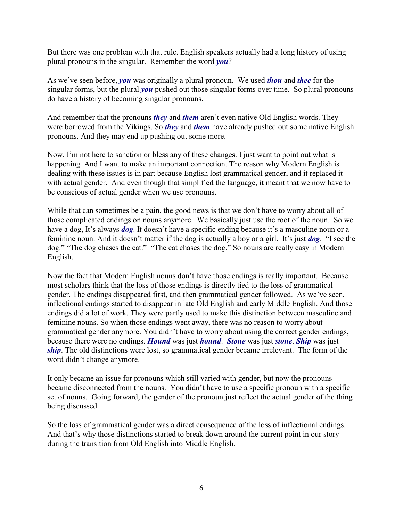But there was one problem with that rule. English speakers actually had a long history of using plural pronouns in the singular. Remember the word *you*?

As we've seen before, *you* was originally a plural pronoun. We used *thou* and *thee* for the singular forms, but the plural *you* pushed out those singular forms over time. So plural pronouns do have a history of becoming singular pronouns.

And remember that the pronouns *they* and *them* aren't even native Old English words. They were borrowed from the Vikings. So *they* and *them* have already pushed out some native English pronouns. And they may end up pushing out some more.

Now, I'm not here to sanction or bless any of these changes. I just want to point out what is happening. And I want to make an important connection. The reason why Modern English is dealing with these issues is in part because English lost grammatical gender, and it replaced it with actual gender. And even though that simplified the language, it meant that we now have to be conscious of actual gender when we use pronouns.

While that can sometimes be a pain, the good news is that we don't have to worry about all of those complicated endings on nouns anymore. We basically just use the root of the noun. So we have a dog, It's always *dog*. It doesn't have a specific ending because it's a masculine noun or a feminine noun. And it doesn't matter if the dog is actually a boy or a girl. It's just *dog*. "I see the dog." "The dog chases the cat." "The cat chases the dog." So nouns are really easy in Modern English.

Now the fact that Modern English nouns don't have those endings is really important. Because most scholars think that the loss of those endings is directly tied to the loss of grammatical gender. The endings disappeared first, and then grammatical gender followed. As we've seen, inflectional endings started to disappear in late Old English and early Middle English. And those endings did a lot of work. They were partly used to make this distinction between masculine and feminine nouns. So when those endings went away, there was no reason to worry about grammatical gender anymore. You didn't have to worry about using the correct gender endings, because there were no endings. *Hound* was just *hound*. *Stone* was just *stone*. *Ship* was just *ship*. The old distinctions were lost, so grammatical gender became irrelevant. The form of the word didn't change anymore.

It only became an issue for pronouns which still varied with gender, but now the pronouns became disconnected from the nouns. You didn't have to use a specific pronoun with a specific set of nouns. Going forward, the gender of the pronoun just reflect the actual gender of the thing being discussed.

So the loss of grammatical gender was a direct consequence of the loss of inflectional endings. And that's why those distinctions started to break down around the current point in our story – during the transition from Old English into Middle English.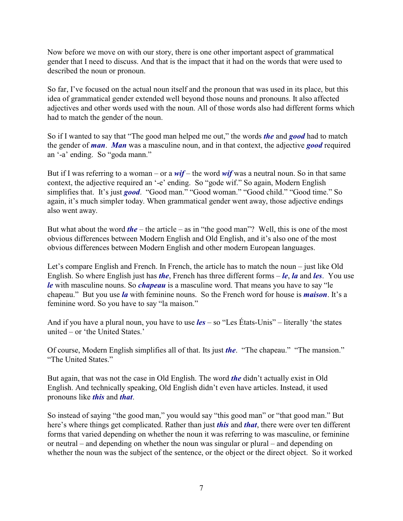Now before we move on with our story, there is one other important aspect of grammatical gender that I need to discuss. And that is the impact that it had on the words that were used to described the noun or pronoun.

So far, I've focused on the actual noun itself and the pronoun that was used in its place, but this idea of grammatical gender extended well beyond those nouns and pronouns. It also affected adjectives and other words used with the noun. All of those words also had different forms which had to match the gender of the noun.

So if I wanted to say that "The good man helped me out," the words *the* and *good* had to match the gender of *man*. *Man* was a masculine noun, and in that context, the adjective *good* required an '-a' ending. So "goda mann."

But if I was referring to a woman – or a *wif* – the word *wif* was a neutral noun. So in that same context, the adjective required an '-e' ending. So "gode wif." So again, Modern English simplifies that. It's just *good*. "Good man." "Good woman." "Good child." "Good time." So again, it's much simpler today. When grammatical gender went away, those adjective endings also went away.

But what about the word *the* – the article – as in "the good man"? Well, this is one of the most obvious differences between Modern English and Old English, and it's also one of the most obvious differences between Modern English and other modern European languages.

Let's compare English and French. In French, the article has to match the noun – just like Old English. So where English just has *the*, French has three different forms – *le*, *la* and *les*. You use *le* with masculine nouns. So *chapeau* is a masculine word. That means you have to say "le chapeau." But you use *la* with feminine nouns. So the French word for house is *maison*. It's a feminine word. So you have to say "la maison."

And if you have a plural noun, you have to use *les* – so "Les États-Unis" – literally 'the states united – or 'the United States.'

Of course, Modern English simplifies all of that. Its just *the*. "The chapeau." "The mansion." "The United States."

But again, that was not the case in Old English. The word *the* didn't actually exist in Old English. And technically speaking, Old English didn't even have articles. Instead, it used pronouns like *this* and *that*.

So instead of saying "the good man," you would say "this good man" or "that good man." But here's where things get complicated. Rather than just *this* and *that*, there were over ten different forms that varied depending on whether the noun it was referring to was masculine, or feminine or neutral – and depending on whether the noun was singular or plural – and depending on whether the noun was the subject of the sentence, or the object or the direct object. So it worked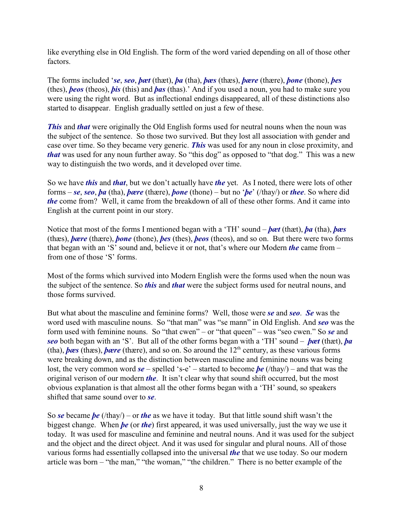like everything else in Old English. The form of the word varied depending on all of those other factors.

The forms included '*se*, *seo*, *þæt* (thæt), *þa* (tha), *þæs* (thæs), *þære* (thære), *þone* (thone), *þes* (thes), *þeos* (theos), *þis* (this) and *þas* (thas).' And if you used a noun, you had to make sure you were using the right word. But as inflectional endings disappeared, all of these distinctions also started to disappear. English gradually settled on just a few of these.

*This* and *that* were originally the Old English forms used for neutral nouns when the noun was the subject of the sentence. So those two survived. But they lost all association with gender and case over time. So they became very generic. *This* was used for any noun in close proximity, and *that* was used for any noun further away. So "this dog" as opposed to "that dog." This was a new way to distinguish the two words, and it developed over time.

So we have *this* and *that*, but we don't actually have *the* yet. As I noted, there were lots of other forms – *se*, *seo*, *þa* (tha), *þære* (thære), *þone* (thone) – but no '*þe*' (/thay/) or *thee*. So where did *the* come from? Well, it came from the breakdown of all of these other forms. And it came into English at the current point in our story.

Notice that most of the forms I mentioned began with a 'TH' sound – *þæt* (thæt), *þa* (tha), *þæs* (thæs), *þære* (thære), *þone* (thone), *þes* (thes), *þeos* (theos), and so on. But there were two forms that began with an 'S' sound and, believe it or not, that's where our Modern *the* came from – from one of those 'S' forms.

Most of the forms which survived into Modern English were the forms used when the noun was the subject of the sentence. So *this* and *that* were the subject forms used for neutral nouns, and those forms survived.

But what about the masculine and feminine forms? Well, those were *se* and *seo*. *Se* was the word used with masculine nouns. So "that man" was "se mann" in Old English. And *seo* was the form used with feminine nouns. So "that cwen" – or "that queen" – was "seo cwen." So *se* and *seo* both began with an 'S'. But all of the other forms began with a 'TH' sound – *þæt* (thæt), *þa* (tha), *has* (thæs), *hare* (thære), and so on. So around the  $12<sup>th</sup>$  century, as these various forms were breaking down, and as the distinction between masculine and feminine nouns was being lost, the very common word *se* – spelled 's-e' – started to become *þe* (/thay/) – and that was the original verison of our modern *the*. It isn't clear why that sound shift occurred, but the most obvious explanation is that almost all the other forms began with a 'TH' sound, so speakers shifted that same sound over to *se*.

So *se* became *þe* (/thay/) – or *the* as we have it today. But that little sound shift wasn't the biggest change. When *þe* (or *the*) first appeared, it was used universally, just the way we use it today. It was used for masculine and feminine and neutral nouns. And it was used for the subject and the object and the direct object. And it was used for singular and plural nouns. All of those various forms had essentially collapsed into the universal *the* that we use today. So our modern article was born – "the man," "the woman," "the children." There is no better example of the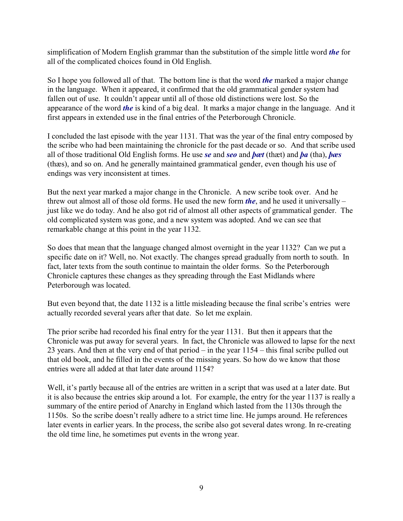simplification of Modern English grammar than the substitution of the simple little word *the* for all of the complicated choices found in Old English.

So I hope you followed all of that. The bottom line is that the word *the* marked a major change in the language. When it appeared, it confirmed that the old grammatical gender system had fallen out of use. It couldn't appear until all of those old distinctions were lost. So the appearance of the word *the* is kind of a big deal. It marks a major change in the language. And it first appears in extended use in the final entries of the Peterborough Chronicle.

I concluded the last episode with the year 1131. That was the year of the final entry composed by the scribe who had been maintaining the chronicle for the past decade or so. And that scribe used all of those traditional Old English forms. He use *se* and *seo* and *þæt* (thæt) and *þa* (tha), *þæs* (thæs), and so on. And he generally maintained grammatical gender, even though his use of endings was very inconsistent at times.

But the next year marked a major change in the Chronicle. A new scribe took over. And he threw out almost all of those old forms. He used the new form *the*, and he used it universally – just like we do today. And he also got rid of almost all other aspects of grammatical gender. The old complicated system was gone, and a new system was adopted. And we can see that remarkable change at this point in the year 1132.

So does that mean that the language changed almost overnight in the year 1132? Can we put a specific date on it? Well, no. Not exactly. The changes spread gradually from north to south. In fact, later texts from the south continue to maintain the older forms. So the Peterborough Chronicle captures these changes as they spreading through the East Midlands where Peterborough was located.

But even beyond that, the date 1132 is a little misleading because the final scribe's entries were actually recorded several years after that date. So let me explain.

The prior scribe had recorded his final entry for the year 1131. But then it appears that the Chronicle was put away for several years. In fact, the Chronicle was allowed to lapse for the next 23 years. And then at the very end of that period – in the year 1154 – this final scribe pulled out that old book, and he filled in the events of the missing years. So how do we know that those entries were all added at that later date around 1154?

Well, it's partly because all of the entries are written in a script that was used at a later date. But it is also because the entries skip around a lot. For example, the entry for the year 1137 is really a summary of the entire period of Anarchy in England which lasted from the 1130s through the 1150s. So the scribe doesn't really adhere to a strict time line. He jumps around. He references later events in earlier years. In the process, the scribe also got several dates wrong. In re-creating the old time line, he sometimes put events in the wrong year.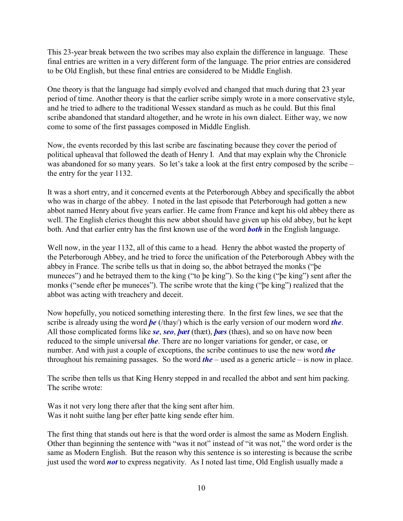This 23-year break between the two scribes may also explain the difference in language. These final entries are written in a very different form of the language. The prior entries are considered to be Old English, but these final entries are considered to be Middle English.

One theory is that the language had simply evolved and changed that much during that 23 year period of time. Another theory is that the earlier scribe simply wrote in a more conservative style, and he tried to adhere to the traditional Wessex standard as much as he could. But this final scribe abandoned that standard altogether, and he wrote in his own dialect. Either way, we now come to some of the first passages composed in Middle English.

Now, the events recorded by this last scribe are fascinating because they cover the period of political upheaval that followed the death of Henry I. And that may explain why the Chronicle was abandoned for so many years. So let's take a look at the first entry composed by the scribe – the entry for the year 1132.

It was a short entry, and it concerned events at the Peterborough Abbey and specifically the abbot who was in charge of the abbey. I noted in the last episode that Peterborough had gotten a new abbot named Henry about five years earlier. He came from France and kept his old abbey there as well. The English clerics thought this new abbot should have given up his old abbey, but he kept both. And that earlier entry has the first known use of the word *both* in the English language.

Well now, in the year 1132, all of this came to a head. Henry the abbot wasted the property of the Peterborough Abbey, and he tried to force the unification of the Peterborough Abbey with the abbey in France. The scribe tells us that in doing so, the abbot betrayed the monks ("þe muneces") and he betrayed them to the king ("to þe king"). So the king ("þe king") sent after the monks ("sende efter þe muneces"). The scribe wrote that the king ("þe king") realized that the abbot was acting with treachery and deceit.

Now hopefully, you noticed something interesting there. In the first few lines, we see that the scribe is already using the word *þe* (/thay/) which is the early version of our modern word *the*. All those complicated forms like *se*, *seo*, *þæt* (thæt), *þæs* (thæs), and so on have now been reduced to the simple universal *the*. There are no longer variations for gender, or case, or number. And with just a couple of exceptions, the scribe continues to use the new word *the* throughout his remaining passages. So the word *the* – used as a generic article – is now in place.

The scribe then tells us that King Henry stepped in and recalled the abbot and sent him packing. The scribe wrote:

Was it not very long there after that the king sent after him. Was it noht suithe lang þer efter þatte king sende efter him.

The first thing that stands out here is that the word order is almost the same as Modern English. Other than beginning the sentence with "was it not" instead of "it was not," the word order is the same as Modern English. But the reason why this sentence is so interesting is because the scribe just used the word *not* to express negativity. As I noted last time, Old English usually made a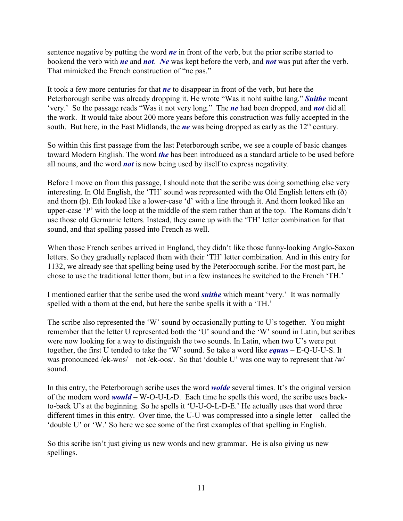sentence negative by putting the word *ne* in front of the verb, but the prior scribe started to bookend the verb with *ne* and *not*. *Ne* was kept before the verb, and *not* was put after the verb. That mimicked the French construction of "ne pas."

It took a few more centuries for that *ne* to disappear in front of the verb, but here the Peterborough scribe was already dropping it. He wrote "Was it noht suithe lang." *Suithe* meant 'very.' So the passage reads "Was it not very long." The *ne* had been dropped, and *not* did all the work. It would take about 200 more years before this construction was fully accepted in the south. But here, in the East Midlands, the  $ne$  was being dropped as early as the  $12<sup>th</sup>$  century.

So within this first passage from the last Peterborough scribe, we see a couple of basic changes toward Modern English. The word *the* has been introduced as a standard article to be used before all nouns, and the word *not* is now being used by itself to express negativity.

Before I move on from this passage, I should note that the scribe was doing something else very interesting. In Old English, the 'TH' sound was represented with the Old English letters eth (ð) and thorn (þ). Eth looked like a lower-case 'd' with a line through it. And thorn looked like an upper-case 'P' with the loop at the middle of the stem rather than at the top. The Romans didn't use those old Germanic letters. Instead, they came up with the 'TH' letter combination for that sound, and that spelling passed into French as well.

When those French scribes arrived in England, they didn't like those funny-looking Anglo-Saxon letters. So they gradually replaced them with their 'TH' letter combination. And in this entry for 1132, we already see that spelling being used by the Peterborough scribe. For the most part, he chose to use the traditional letter thorn, but in a few instances he switched to the French 'TH.'

I mentioned earlier that the scribe used the word *suithe* which meant 'very.' It was normally spelled with a thorn at the end, but here the scribe spells it with a 'TH.'

The scribe also represented the 'W' sound by occasionally putting to U's together. You might remember that the letter U represented both the 'U' sound and the 'W' sound in Latin, but scribes were now looking for a way to distinguish the two sounds. In Latin, when two U's were put together, the first U tended to take the 'W' sound. So take a word like *equus* – E-Q-U-U-S. It was pronounced /ek-wos/ – not /ek-oos/. So that 'double U' was one way to represent that /w/ sound.

In this entry, the Peterborough scribe uses the word *wolde* several times. It's the original version of the modern word *would* – W-O-U-L-D. Each time he spells this word, the scribe uses backto-back U's at the beginning. So he spells it 'U-U-O-L-D-E.' He actually uses that word three different times in this entry. Over time, the U-U was compressed into a single letter – called the 'double U' or 'W.' So here we see some of the first examples of that spelling in English.

So this scribe isn't just giving us new words and new grammar. He is also giving us new spellings.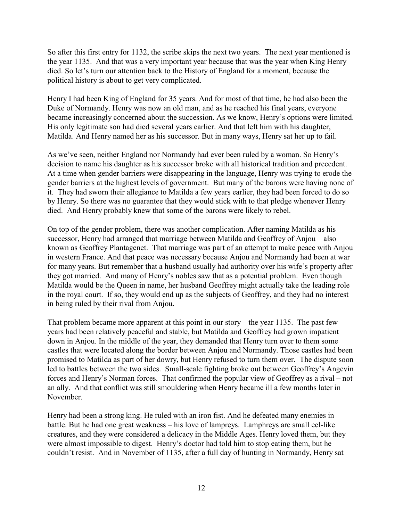So after this first entry for 1132, the scribe skips the next two years. The next year mentioned is the year 1135. And that was a very important year because that was the year when King Henry died. So let's turn our attention back to the History of England for a moment, because the political history is about to get very complicated.

Henry I had been King of England for 35 years. And for most of that time, he had also been the Duke of Normandy. Henry was now an old man, and as he reached his final years, everyone became increasingly concerned about the succession. As we know, Henry's options were limited. His only legitimate son had died several years earlier. And that left him with his daughter, Matilda. And Henry named her as his successor. But in many ways, Henry sat her up to fail.

As we've seen, neither England nor Normandy had ever been ruled by a woman. So Henry's decision to name his daughter as his successor broke with all historical tradition and precedent. At a time when gender barriers were disappearing in the language, Henry was trying to erode the gender barriers at the highest levels of government. But many of the barons were having none of it. They had sworn their allegiance to Matilda a few years earlier, they had been forced to do so by Henry. So there was no guarantee that they would stick with to that pledge whenever Henry died. And Henry probably knew that some of the barons were likely to rebel.

On top of the gender problem, there was another complication. After naming Matilda as his successor, Henry had arranged that marriage between Matilda and Geoffrey of Anjou – also known as Geoffrey Plantagenet. That marriage was part of an attempt to make peace with Anjou in western France. And that peace was necessary because Anjou and Normandy had been at war for many years. But remember that a husband usually had authority over his wife's property after they got married. And many of Henry's nobles saw that as a potential problem. Even though Matilda would be the Queen in name, her husband Geoffrey might actually take the leading role in the royal court. If so, they would end up as the subjects of Geoffrey, and they had no interest in being ruled by their rival from Anjou.

That problem became more apparent at this point in our story – the year 1135. The past few years had been relatively peaceful and stable, but Matilda and Geoffrey had grown impatient down in Anjou. In the middle of the year, they demanded that Henry turn over to them some castles that were located along the border between Anjou and Normandy. Those castles had been promised to Matilda as part of her dowry, but Henry refused to turn them over. The dispute soon led to battles between the two sides. Small-scale fighting broke out between Geoffrey's Angevin forces and Henry's Norman forces. That confirmed the popular view of Geoffrey as a rival – not an ally. And that conflict was still smouldering when Henry became ill a few months later in November.

Henry had been a strong king. He ruled with an iron fist. And he defeated many enemies in battle. But he had one great weakness – his love of lampreys. Lamphreys are small eel-like creatures, and they were considered a delicacy in the Middle Ages. Henry loved them, but they were almost impossible to digest. Henry's doctor had told him to stop eating them, but he couldn't resist. And in November of 1135, after a full day of hunting in Normandy, Henry sat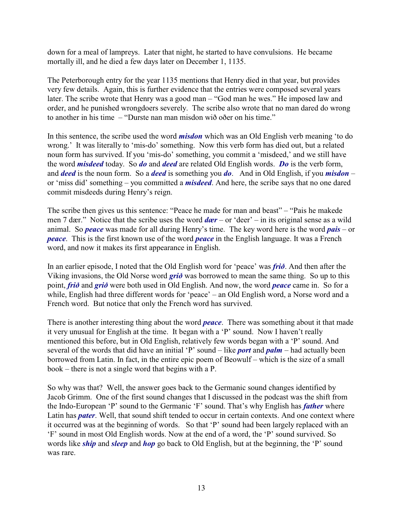down for a meal of lampreys. Later that night, he started to have convulsions. He became mortally ill, and he died a few days later on December 1, 1135.

The Peterborough entry for the year 1135 mentions that Henry died in that year, but provides very few details. Again, this is further evidence that the entries were composed several years later. The scribe wrote that Henry was a good man – "God man he wes." He imposed law and order, and he punished wrongdoers severely. The scribe also wrote that no man dared do wrong to another in his time – "Durste nan man misdon wið oðer on his time."

In this sentence, the scribe used the word *misdon* which was an Old English verb meaning 'to do wrong.' It was literally to 'mis-do' something. Now this verb form has died out, but a related noun form has survived. If you 'mis-do' something, you commit a 'misdeed,' and we still have the word *misdeed* today. So *do* and *deed* are related Old English words. *Do* is the verb form, and *deed* is the noun form. So a *deed* is something you *do*. And in Old English, if you *misdon* – or 'miss did' something – you committed a *misdeed*. And here, the scribe says that no one dared commit misdeeds during Henry's reign.

The scribe then gives us this sentence: "Peace he made for man and beast" – "Pais he makede men 7 dær." Notice that the scribe uses the word *dær* – or 'deer' – in its original sense as a wild animal. So *peace* was made for all during Henry's time. The key word here is the word *pais* – or *peace*. This is the first known use of the word *peace* in the English language. It was a French word, and now it makes its first appearance in English.

In an earlier episode, I noted that the Old English word for 'peace' was *frið*. And then after the Viking invasions, the Old Norse word *grið* was borrowed to mean the same thing. So up to this point, *frið* and *grið* were both used in Old English. And now, the word *peace* came in. So for a while, English had three different words for 'peace' – an Old English word, a Norse word and a French word. But notice that only the French word has survived.

There is another interesting thing about the word *peace*. There was something about it that made it very unusual for English at the time. It began with a 'P' sound. Now I haven't really mentioned this before, but in Old English, relatively few words began with a 'P' sound. And several of the words that did have an initial 'P' sound – like *port* and *palm* – had actually been borrowed from Latin. In fact, in the entire epic poem of Beowulf – which is the size of a small book – there is not a single word that begins with a P.

So why was that? Well, the answer goes back to the Germanic sound changes identified by Jacob Grimm. One of the first sound changes that I discussed in the podcast was the shift from the Indo-European 'P' sound to the Germanic 'F' sound. That's why English has *father* where Latin has *pater*. Well, that sound shift tended to occur in certain contexts. And one context where it occurred was at the beginning of words. So that 'P' sound had been largely replaced with an 'F' sound in most Old English words. Now at the end of a word, the 'P' sound survived. So words like *ship* and *sleep* and *hop* go back to Old English, but at the beginning, the 'P' sound was rare.